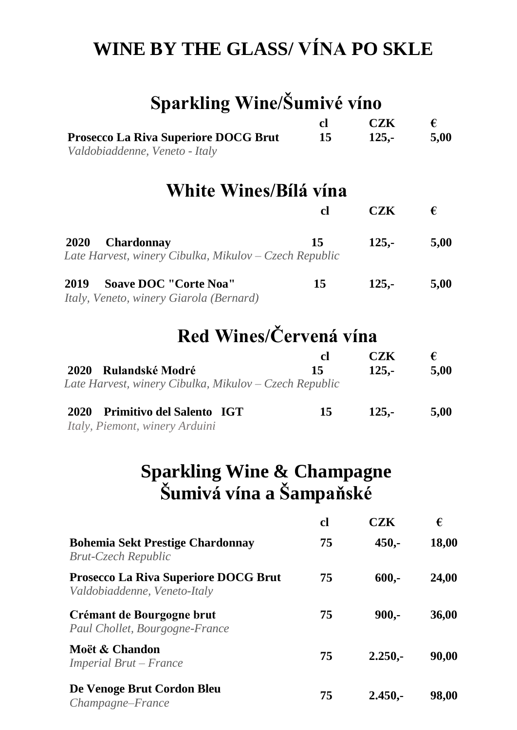## **WINE BY THE GLASS/ VÍNA PO SKLE**

| Sparkling Wine/Šumivé víno                                                                 |               |            |       |
|--------------------------------------------------------------------------------------------|---------------|------------|-------|
|                                                                                            | <sub>cl</sub> | <b>CZK</b> | €     |
| <b>Prosecco La Riva Superiore DOCG Brut</b><br>Valdobiaddenne, Veneto - Italy              | 15            | $125,-$    | 5,00  |
| White Wines/Bílá vína                                                                      |               |            |       |
|                                                                                            | cl            | <b>CZK</b> | €     |
| <b>Chardonnay</b><br><b>2020</b><br>Late Harvest, winery Cibulka, Mikulov – Czech Republic | 15            | $125,-$    | 5,00  |
| <b>Soave DOC "Corte Noa"</b><br>2019<br>Italy, Veneto, winery Giarola (Bernard)            | 15            | $125,-$    | 5,00  |
| Red Wines/Červená vína                                                                     |               |            |       |
|                                                                                            | cl            | <b>CZK</b> | €     |
| – Rulandské Modré<br><b>2020</b><br>Late Harvest, winery Cibulka, Mikulov – Czech Republic | 15            | $125,-$    | 5,00  |
| <b>Primitivo del Salento IGT</b><br>2020<br><i>Italy, Piemont, winery Arduini</i>          | 15            | $125,-$    | 5,00  |
| <b>Sparkling Wine &amp; Champagne</b><br>Šumivá vína a Šampaňské                           |               |            |       |
|                                                                                            | cl            | <b>CZK</b> | €     |
| <b>Bohemia Sekt Prestige Chardonnay</b><br><b>Brut-Czech Republic</b>                      | 75            | $450,-$    | 18,00 |
| <b>Prosecco La Riva Superiore DOCG Brut</b><br>Valdobiaddenne, Veneto-Italy                | 75            | $600,-$    | 24,00 |
| Crémant de Bourgogne brut<br>Paul Chollet, Bourgogne-France                                | 75            | $900 -$    | 36,00 |
| Moët & Chandon<br>Imperial Brut – France                                                   | 75            | $2.250, -$ | 90,00 |
| De Venoge Brut Cordon Bleu<br>Champagne-France                                             | 75            | $2.450, -$ | 98,00 |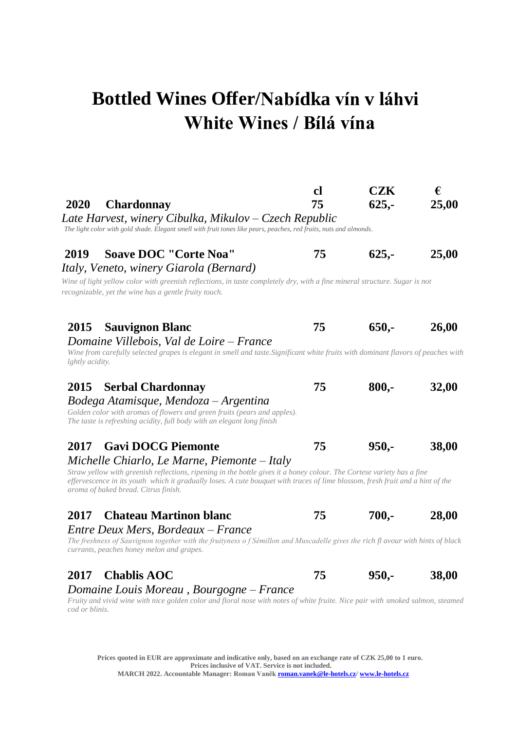## **Bottled Wines Offer/Nabídka vín v láhvi White Wines / Bílá vína**

| 2020<br><b>Chardonnay</b><br>Late Harvest, winery Cibulka, Mikulov – Czech Republic<br>The light color with gold shade. Elegant smell with fruit tones like pears, peaches, red fruits, nuts and almonds.                                                                                                                                                                             | cl<br>75 | <b>CZK</b><br>$625,-$ | €<br>25,00 |
|---------------------------------------------------------------------------------------------------------------------------------------------------------------------------------------------------------------------------------------------------------------------------------------------------------------------------------------------------------------------------------------|----------|-----------------------|------------|
| <b>Soave DOC "Corte Noa"</b><br>2019<br>Italy, Veneto, winery Giarola (Bernard)<br>Wine of light yellow color with greenish reflections, in taste completely dry, with a fine mineral structure. Sugar is not<br>recognizable, yet the wine has a gentle fruity touch.                                                                                                                | 75       | $625 -$               | 25,00      |
| 2015<br><b>Sauvignon Blanc</b><br>Domaine Villebois, Val de Loire – France<br>Wine from carefully selected grapes is elegant in smell and taste. Significant white fruits with dominant flavors of peaches with<br>lghtly acidity.                                                                                                                                                    | 75       | $650 -$               | 26,00      |
| 2015<br><b>Serbal Chardonnay</b><br>Bodega Atamisque, Mendoza - Argentina<br>Golden color with aromas of flowers and green fruits (pears and apples).<br>The taste is refreshing acidity, full body with an elegant long finish                                                                                                                                                       | 75       | $800 -$               | 32,00      |
| <b>Gavi DOCG Piemonte</b><br>2017<br>Michelle Chiarlo, Le Marne, Piemonte – Italy<br>Straw yellow with greenish reflections, ripening in the bottle gives it a honey colour. The Cortese variety has a fine<br>effervescence in its youth which it gradually loses. A cute bouquet with traces of lime blossom, fresh fruit and a hint of the<br>aroma of baked bread. Citrus finish. | 75       | $950,-$               | 38,00      |
| <b>Chateau Martinon blanc</b><br>2017<br>Entre Deux Mers, Bordeaux – France<br>The freshness of Sauvignon together with the fruityness of Sémillon and Muscadelle gives the rich fl avour with hints of black<br>currants, peaches honey melon and grapes.                                                                                                                            | 75       | $700,-$               | 28,00      |
| <b>Chablis AOC</b><br>2017<br>Domaine Louis Moreau, Bourgogne – France<br>Evyity and vivid with wice as don color and floral nose with notes of white fruite. Nice pair with smoked selmon, steamed                                                                                                                                                                                   | 75       | $950 -$               | 38,00      |

*Fruity and vivid wine with nice golden color and floral nose with notes of white fruite. Nice pair with smoked salmon, steamed cod or blinis.*

**Prices quoted in EUR are approximate and indicative only, based on an exchange rate of CZK 25,00 to 1 euro. Prices inclusive of VAT. Service is not included. MARCH 2022. Accountable Manager: Roman Vaně[k roman.vanek@le-hotels.cz/](mailto:roman.vanek@le-hotels.cz) [www.le-hotels.cz](../../../../Tomáš/ROMAN%20GMP/MENU%20GMP/2016/www.le-hotels.cz)**